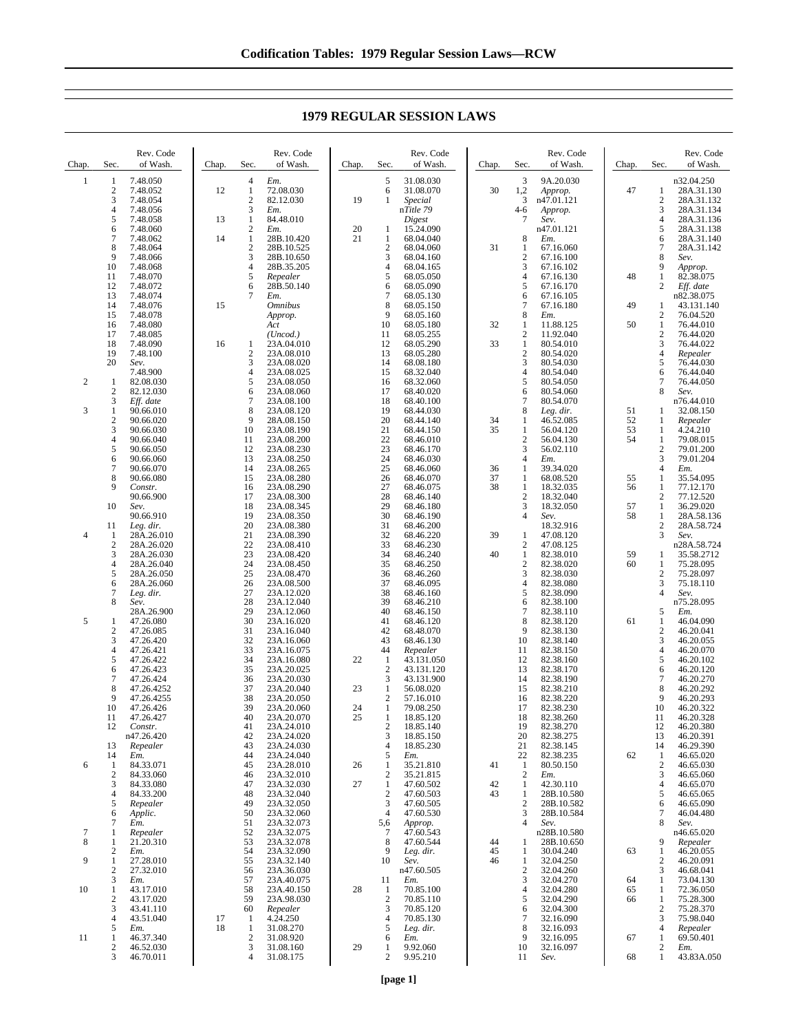| Chap.          | Sec.                    | Rev. Code<br>of Wash.    | Chap. | Sec.                                    | Rev. Code<br>of Wash.     | Chap.    | Sec.                             | Rev. Code<br>of Wash.   | Chap.    | Sec.                  | Rev. Code<br>of Wash.    | Chap.    | Sec.                           | Rev. Code<br>of Wash.     |
|----------------|-------------------------|--------------------------|-------|-----------------------------------------|---------------------------|----------|----------------------------------|-------------------------|----------|-----------------------|--------------------------|----------|--------------------------------|---------------------------|
| 1              | 1                       | 7.48.050                 |       | $\overline{4}$                          | Em.                       |          | 5                                | 31.08.030               |          | 3                     | 9A.20.030                |          |                                | n32.04.250                |
|                | $\mathbf{2}$<br>3       | 7.48.052<br>7.48.054     | 12    | $\mathbf{1}$<br>$\overline{2}$          | 72.08.030<br>82.12.030    | 19       | 6<br>1                           | 31.08.070<br>Special    | 30       | 1,2<br>3              | Approp.<br>n47.01.121    | 47       | 1<br>2                         | 28A.31.130<br>28A.31.132  |
|                | $\overline{4}$          | 7.48.056                 |       | 3                                       | Em.                       |          |                                  | nTitle 79               |          | 4-6                   | Approp.                  |          | 3                              | 28A.31.134                |
|                | 5                       | 7.48.058                 | 13    | $\mathbf{1}$                            | 84.48.010                 |          |                                  | Digest                  |          | 7                     | Sev.                     |          | $\overline{4}$                 | 28A.31.136                |
|                | 6<br>7                  | 7.48.060<br>7.48.062     | 14    | $\overline{\mathbf{c}}$<br>$\mathbf{1}$ | Em.<br>28B.10.420         | 20<br>21 | 1<br>1                           | 15.24.090<br>68.04.040  |          | 8                     | n47.01.121<br>Em.        |          | 5<br>6                         | 28A.31.138<br>28A.31.140  |
|                | 8                       | 7.48.064                 |       | $\overline{\mathbf{c}}$                 | 28B.10.525                |          | $\sqrt{2}$                       | 68.04.060               | 31       | 1                     | 67.16.060                |          | 7                              | 28A.31.142                |
|                | 9                       | 7.48.066                 |       | 3                                       | 28B.10.650                |          | $\ensuremath{\mathbf{3}}$        | 68.04.160               |          | $\overline{2}$        | 67.16.100                |          | 8                              | Sev.                      |
|                | 10<br>11                | 7.48.068<br>7.48.070     |       | 4<br>5                                  | 28B.35.205<br>Repealer    |          | $\overline{4}$<br>5              | 68.04.165<br>68.05.050  |          | 3<br>$\overline{4}$   | 67.16.102<br>67.16.130   | 48       | 9<br>$\mathbf{1}$              | Approp.<br>82.38.075      |
|                | 12                      | 7.48.072                 |       | 6                                       | 28B.50.140                |          | 6                                | 68.05.090               |          | 5                     | 67.16.170                |          | 2                              | Eff. date                 |
|                | 13                      | 7.48.074                 |       | 7                                       | Em.                       |          | $\overline{7}$                   | 68.05.130               |          | 6                     | 67.16.105                |          |                                | n82.38.075                |
|                | 14<br>15                | 7.48.076<br>7.48.078     | 15    |                                         | <b>Omnibus</b><br>Approp. |          | 8<br>9                           | 68.05.150<br>68.05.160  |          | $\overline{7}$<br>8   | 67.16.180<br>Em.         | 49       | 1<br>2                         | 43.131.140<br>76.04.520   |
|                | 16                      | 7.48.080                 |       |                                         | Act                       |          | 10                               | 68.05.180               | 32       | 1                     | 11.88.125                | 50       | $\mathbf{1}$                   | 76.44.010                 |
|                | 17<br>18                | 7.48.085<br>7.48.090     | 16    | 1                                       | (Uncod.)<br>23A.04.010    |          | 11<br>12                         | 68.05.255<br>68.05.290  | 33       | $\overline{c}$<br>1   | 11.92.040<br>80.54.010   |          | $\overline{\mathbf{c}}$<br>3   | 76.44.020<br>76.44.022    |
|                | 19                      | 7.48.100                 |       | $\overline{2}$                          | 23A.08.010                |          | 13                               | 68.05.280               |          | $\overline{c}$        | 80.54.020                |          | 4                              | Repealer                  |
|                | 20                      | Sev.                     |       | 3                                       | 23A.08.020                |          | 14                               | 68.08.180               |          | 3                     | 80.54.030                |          | 5                              | 76.44.030                 |
| $\overline{c}$ | 1                       | 7.48.900<br>82.08.030    |       | 4<br>5                                  | 23A.08.025<br>23A.08.050  |          | 15<br>16                         | 68.32.040<br>68.32.060  |          | $\overline{4}$<br>5   | 80.54.040<br>80.54.050   |          | 6<br>7                         | 76.44.040<br>76.44.050    |
|                | $\boldsymbol{2}$        | 82.12.030                |       | 6                                       | 23A.08.060                |          | 17                               | 68.40.020               |          | 6                     | 80.54.060                |          | 8                              | Sev.                      |
| 3              | 3<br>1                  | Eff. date<br>90.66.010   |       | $\overline{7}$<br>8                     | 23A.08.100<br>23A.08.120  |          | 18<br>19                         | 68.40.100<br>68.44.030  |          | 7<br>8                | 80.54.070                | 51       | 1                              | n76.44.010<br>32.08.150   |
|                | $\overline{c}$          | 90.66.020                |       | 9                                       | 28A.08.150                |          | 20                               | 68.44.140               | 34       | 1                     | Leg. dir.<br>46.52.085   | 52       | 1                              | Repealer                  |
|                | 3                       | 90.66.030                |       | 10                                      | 23A.08.190                |          | 21                               | 68.44.150               | 35       | 1                     | 56.04.120                | 53       | 1                              | 4.24.210                  |
|                | 4<br>5                  | 90.66.040<br>90.66.050   |       | 11<br>12                                | 23A.08.200<br>23A.08.230  |          | 22<br>23                         | 68.46.010<br>68.46.170  |          | $\overline{c}$<br>3   | 56.04.130<br>56.02.110   | 54       | $\mathbf{1}$<br>$\overline{c}$ | 79.08.015<br>79.01.200    |
|                | 6                       | 90.66.060                |       | 13                                      | 23A.08.250                |          | 24                               | 68.46.030               |          | 4                     | Em.                      |          | 3                              | 79.01.204                 |
|                | 7                       | 90.66.070<br>90.66.080   |       | 14                                      | 23A.08.265                |          | 25                               | 68.46.060               | 36       | $\mathbf{1}$          | 39.34.020                |          | $\overline{\mathbf{4}}$        | Em.                       |
|                | 8<br>9                  | Constr.                  |       | 15<br>16                                | 23A.08.280<br>23A.08.290  |          | 26<br>27                         | 68.46.070<br>68.46.075  | 37<br>38 | 1<br>1                | 68.08.520<br>18.32.035   | 55<br>56 | 1<br>$\mathbf{1}$              | 35.54.095<br>77.12.170    |
|                |                         | 90.66.900                |       | 17                                      | 23A.08.300                |          | 28                               | 68.46.140               |          | $\overline{c}$        | 18.32.040                |          | 2                              | 77.12.520                 |
|                | 10                      | Sev.<br>90.66.910        |       | 18<br>19                                | 23A.08.345<br>23A.08.350  |          | 29<br>30                         | 68.46.180<br>68.46.190  |          | 3<br>$\overline{4}$   | 18.32.050<br>Sev.        | 57<br>58 | $\mathbf{1}$<br>1              | 36.29.020<br>28A.58.136   |
|                | 11                      | Leg. dir.                |       | 20                                      | 23A.08.380                |          | 31                               | 68.46.200               |          |                       | 18.32.916                |          | $\sqrt{2}$                     | 28A.58.724                |
| $\overline{4}$ | 1                       | 28A.26.010               |       | 21                                      | 23A.08.390                |          | 32                               | 68.46.220               | 39       | 1                     | 47.08.120                |          | 3                              | Sev.                      |
|                | $\boldsymbol{2}$<br>3   | 28A.26.020<br>28A.26.030 |       | 22<br>23                                | 23A.08.410<br>23A.08.420  |          | 33<br>34                         | 68.46.230<br>68.46.240  | 40       | 2<br>$\mathbf{1}$     | 47.08.125<br>82.38.010   | 59       | 1                              | n28A.58.724<br>35.58.2712 |
|                | 4                       | 28A.26.040               |       | 24                                      | 23A.08.450                |          | 35                               | 68.46.250               |          | $\boldsymbol{2}$      | 82.38.020                | 60       | 1                              | 75.28.095                 |
|                | 5<br>6                  | 28A.26.050<br>28A.26.060 |       | 25<br>26                                | 23A.08.470<br>23A.08.500  |          | 36<br>37                         | 68.46.260<br>68.46.095  |          | 3<br>$\overline{4}$   | 82.38.030<br>82.38.080   |          | 2<br>3                         | 75.28.097<br>75.18.110    |
|                | 7                       | Leg. dir.                |       | 27                                      | 23A.12.020                |          | 38                               | 68.46.160               |          | 5                     | 82.38.090                |          | $\overline{4}$                 | Sev.                      |
|                | 8                       | Sev.                     |       | 28                                      | 23A.12.040                |          | 39                               | 68.46.210               |          | 6                     | 82.38.100                |          |                                | n75.28.095                |
| 5              | 1                       | 28A.26.900<br>47.26.080  |       | 29<br>30                                | 23A.12.060<br>23A.16.020  |          | 40<br>41                         | 68.46.150<br>68.46.120  |          | $\overline{7}$<br>8   | 82.38.110<br>82.38.120   | 61       | 5<br>1                         | Em.<br>46.04.090          |
|                | $\overline{\mathbf{c}}$ | 47.26.085                |       | 31                                      | 23A.16.040                |          | 42                               | 68.48.070               |          | 9                     | 82.38.130                |          | $\overline{\mathbf{c}}$        | 46.20.041                 |
|                | 3<br>4                  | 47.26.420<br>47.26.421   |       | 32<br>33                                | 23A.16.060<br>23A.16.075  |          | 43<br>44                         | 68.46.130<br>Repealer   |          | 10<br>11              | 82.38.140<br>82.38.150   |          | 3<br>4                         | 46.20.055<br>46.20.070    |
|                | 5                       | 47.26.422                |       | 34                                      | 23A.16.080                | 22       | $\mathbf{1}$                     | 43.131.050              |          | 12                    | 82.38.160                |          | 5                              | 46.20.102                 |
|                | 6                       | 47.26.423                |       | 35                                      | 23A.20.025                |          | $\overline{c}$                   | 43.131.120              |          | 13                    | 82.38.170                |          | 6                              | 46.20.120                 |
|                | 7<br>8                  | 47.26.424<br>47.26.4252  |       | 36<br>37                                | 23A.20.030<br>23A.20.040  | 23       | 3<br>$\mathbf{1}$                | 43.131.900<br>56.08.020 |          | 14<br>15              | 82.38.190<br>82.38.210   |          | 7<br>8                         | 46.20.270<br>46.20.292    |
|                | 9                       | 47.26.4255               |       | 38                                      | 23A.20.050                |          | $\overline{c}$                   | 57.16.010               |          | 16                    | 82.38.220                |          | 9                              | 46.20.293                 |
|                | 10<br>11                | 47.26.426<br>47.26.427   |       | 39<br>40                                | 23A.20.060<br>23A.20.070  | 24<br>25 | $\mathbf{1}$<br>$\mathbf{1}$     | 79.08.250<br>18.85.120  |          | 17<br>18              | 82.38.230<br>82.38.260   |          | 10<br>11                       | 46.20.322<br>46.20.328    |
|                | 12                      | Constr.                  |       | 41                                      | 23A.24.010                |          | $\overline{c}$                   | 18.85.140               |          | 19                    | 82.38.270                |          | 12                             | 46.20.380                 |
|                |                         | n47.26.420               |       | 42<br>43                                | 23A.24.020                |          | $\mathfrak{Z}$                   | 18.85.150               |          | 20                    | 82.38.275                |          | 13                             | 46.20.391                 |
|                | 13<br>14                | Repealer<br>Em.          |       | 44                                      | 23A.24.030<br>23A.24.040  |          | $\overline{4}$<br>$\sqrt{5}$     | 18.85.230<br>Em.        |          | 21<br>22              | 82.38.145<br>82.38.235   | 62       | 14<br>$\mathbf{1}$             | 46.29.390<br>46.65.020    |
| 6              | 1                       | 84.33.071                |       | 45                                      | 23A.28.010                | 26       | $\mathbf{1}$                     | 35.21.810               | 41       | -1                    | 80.50.150                |          | 2                              | 46.65.030                 |
|                | $\boldsymbol{2}$<br>3   | 84.33.060<br>84.33.080   |       | 46<br>47                                | 23A.32.010<br>23A.32.030  | 27       | $\boldsymbol{2}$<br>$\mathbf{1}$ | 35.21.815<br>47.60.502  | 42       | $\overline{c}$<br>1   | Em.<br>42.30.110         |          | 3<br>4                         | 46.65.060<br>46.65.070    |
|                | 4                       | 84.33.200                |       | 48                                      | 23A.32.040                |          | $\overline{2}$                   | 47.60.503               | 43       | 1                     | 28B.10.580               |          | 5                              | 46.65.065                 |
|                | 5                       | Repealer                 |       | 49<br>50                                | 23A.32.050<br>23A.32.060  |          | 3<br>$\overline{4}$              | 47.60.505<br>47.60.530  |          | $\boldsymbol{2}$<br>3 | 28B.10.582<br>28B.10.584 |          | 6<br>7                         | 46.65.090<br>46.04.480    |
|                | 6<br>7                  | Applic.<br>Em.           |       | 51                                      | 23A.32.073                |          | 5,6                              | Approp.                 |          | $\overline{4}$        | Sev.                     |          | 8                              | Sev.                      |
| 7              | 1                       | Repealer                 |       | 52                                      | 23A.32.075                |          | 7                                | 47.60.543               |          |                       | n28B.10.580              |          |                                | n46.65.020                |
| 8              | 1<br>2                  | 21.20.310<br>Em.         |       | 53<br>54                                | 23A.32.078<br>23A.32.090  |          | 8<br>9                           | 47.60.544<br>Leg. dir.  | 44<br>45 | 1<br>1                | 28B.10.650<br>30.04.240  | 63       | 9<br>1                         | Repealer<br>46.20.055     |
| 9              | 1                       | 27.28.010                |       | 55                                      | 23A.32.140                |          | 10                               | Sev.                    | 46       | 1                     | 32.04.250                |          | 2                              | 46.20.091                 |
|                | 2                       | 27.32.010                |       | 56                                      | 23A.36.030                |          |                                  | n47.60.505              |          | $\overline{c}$        | 32.04.260                |          | 3                              | 46.68.041<br>73.04.130    |
| 10             | 3<br>1                  | Em.<br>43.17.010         |       | 57<br>58                                | 23A.40.075<br>23A.40.150  | 28       | 11<br>$\mathbf{1}$               | Em.<br>70.85.100        |          | 3<br>$\overline{4}$   | 32.04.270<br>32.04.280   | 64<br>65 | 1<br>1                         | 72.36.050                 |
|                | $\mathbf{2}$            | 43.17.020                |       | 59                                      | 23A.98.030                |          | $\sqrt{2}$                       | 70.85.110               |          | 5                     | 32.04.290                | 66       | 1                              | 75.28.300                 |
|                | 3<br>4                  | 43.41.110<br>43.51.040   | 17    | 60<br>$\mathbf{1}$                      | Repealer<br>4.24.250      |          | $\mathfrak z$<br>$\overline{4}$  | 70.85.120<br>70.85.130  |          | 6<br>7                | 32.04.300<br>32.16.090   |          | $\mathbf{2}$<br>3              | 75.28.370<br>75.98.040    |
|                | 5                       | Em.                      | 18    | $\mathbf{1}$                            | 31.08.270                 |          | $\sqrt{5}$                       | Leg. dir.               |          | 8                     | 32.16.093                |          | 4                              | Repealer                  |
| 11             | 1                       | 46.37.340<br>46.52.030   |       | $\sqrt{2}$<br>3                         | 31.08.920                 |          | 6                                | Em.                     |          | 9                     | 32.16.095                | 67       | $\mathbf{1}$                   | 69.50.401                 |
|                | $\boldsymbol{2}$<br>3   | 46.70.011                |       | 4                                       | 31.08.160<br>31.08.175    | 29       | 1<br>$\overline{c}$              | 9.92.060<br>9.95.210    |          | 10<br>11              | 32.16.097<br>Sev.        | 68       | 2<br>$\mathbf{1}$              | Em.<br>43.83A.050         |

## **1979 REGULAR SESSION LAWS**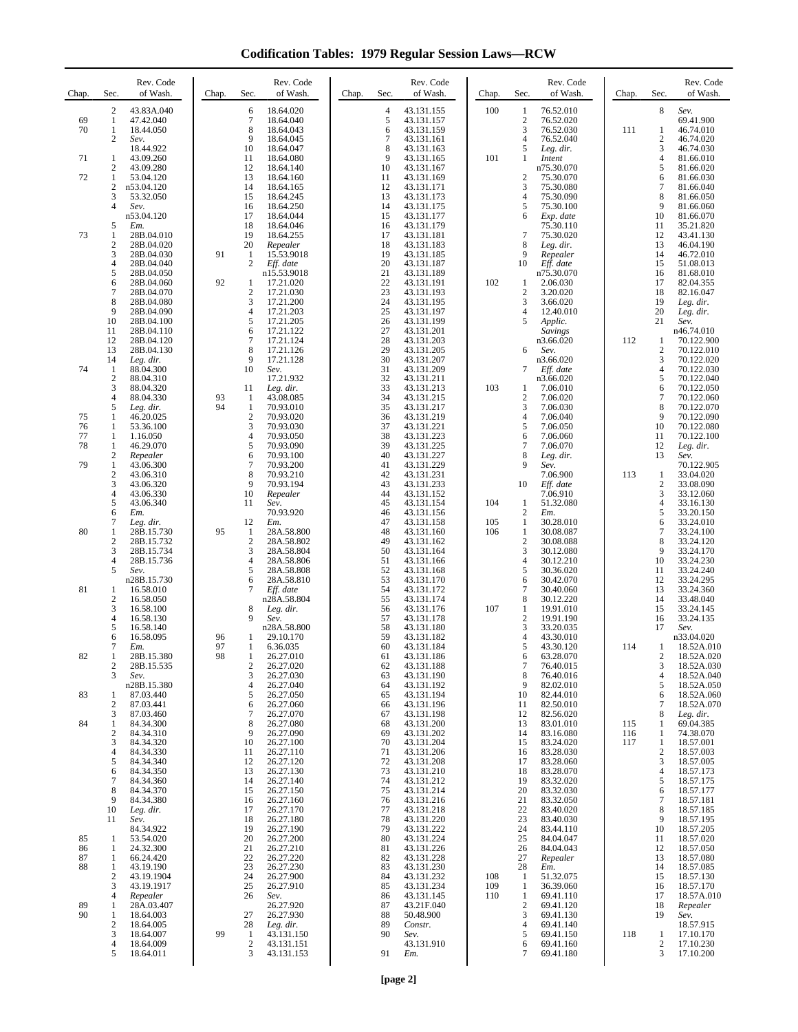**Codification Tables: 1979 Regular Session Laws—RCW**

| Chap.          | Sec.                                           | Rev. Code<br>of Wash.                  | Chap.    | Sec.                                         | Rev. Code<br>of Wash.                  | Chap. | Sec.                     | Rev. Code<br>of Wash.                  | Chap.      | Sec.                                    | Rev. Code<br>of Wash.               | Chap.      | Sec.                                  | Rev. Code<br>of Wash.                  |
|----------------|------------------------------------------------|----------------------------------------|----------|----------------------------------------------|----------------------------------------|-------|--------------------------|----------------------------------------|------------|-----------------------------------------|-------------------------------------|------------|---------------------------------------|----------------------------------------|
| 69<br>70       | $\overline{2}$<br>1<br>$\mathbf{1}$            | 43.83A.040<br>47.42.040<br>18.44.050   |          | 6<br>7<br>8                                  | 18.64.020<br>18.64.040<br>18.64.043    |       | $\overline{4}$<br>5<br>6 | 43.131.155<br>43.131.157<br>43.131.159 | 100        | 1<br>$\boldsymbol{2}$<br>3              | 76.52.010<br>76.52.020<br>76.52.030 | 111        | 8<br>1                                | Sev.<br>69.41.900<br>46.74.010         |
|                | $\overline{2}$                                 | Sev.<br>18.44.922                      |          | 9<br>10                                      | 18.64.045<br>18.64.047                 |       | $\overline{7}$<br>8      | 43.131.161<br>43.131.163               |            | $\overline{4}$<br>5                     | 76.52.040<br>Leg. dir.              |            | $\mathbf{2}$<br>3                     | 46.74.020<br>46.74.030                 |
| 71<br>72       | -1<br>2<br>$\mathbf{1}$                        | 43.09.260<br>43.09.280<br>53.04.120    |          | 11<br>12<br>13                               | 18.64.080<br>18.64.140<br>18.64.160    |       | 9<br>10<br>11            | 43.131.165<br>43.131.167<br>43.131.169 | 101        | 1<br>$\overline{2}$                     | Intent<br>n75.30.070<br>75.30.070   |            | $\overline{4}$<br>5<br>6              | 81.66.010<br>81.66.020<br>81.66.030    |
|                | 2<br>3                                         | n53.04.120<br>53.32.050                |          | 14<br>15                                     | 18.64.165<br>18.64.245                 |       | 12<br>13                 | 43.131.171<br>43.131.173               |            | 3<br>$\overline{4}$                     | 75.30.080<br>75.30.090              |            | 7<br>8                                | 81.66.040<br>81.66.050                 |
|                | $\overline{4}$<br>5                            | Sev.<br>n53.04.120<br>Em.              |          | 16<br>17<br>18                               | 18.64.250<br>18.64.044<br>18.64.046    |       | 14<br>15<br>16           | 43.131.175<br>43.131.177<br>43.131.179 |            | 5<br>6                                  | 75.30.100<br>Exp. date<br>75.30.110 |            | 9<br>10<br>11                         | 81.66.060<br>81.66.070<br>35.21.820    |
| 73             | $\mathbf{1}$<br>2                              | 28B.04.010<br>28B.04.020               |          | 19<br>20                                     | 18.64.255<br>Repealer                  |       | 17<br>18                 | 43.131.181<br>43.131.183               |            | $\tau$<br>8                             | 75.30.020<br>Leg. dir.              |            | 12<br>13                              | 43.41.130<br>46.04.190                 |
|                | 3<br>4<br>5                                    | 28B.04.030<br>28B.04.040<br>28B.04.050 | 91       | 1<br>2                                       | 15.53.9018<br>Eff. date<br>n15.53.9018 |       | 19<br>20<br>21           | 43.131.185<br>43.131.187<br>43.131.189 |            | 9<br>10                                 | Repealer<br>Eff. date<br>n75.30.070 |            | 14<br>15<br>16                        | 46.72.010<br>51.08.013<br>81.68.010    |
|                | 6<br>7                                         | 28B.04.060<br>28B.04.070               | 92       | 1<br>$\overline{\mathbf{c}}$                 | 17.21.020<br>17.21.030                 |       | 22<br>23                 | 43.131.191<br>43.131.193               | 102        | $\mathbf{1}$<br>$\overline{c}$          | 2.06.030<br>3.20.020                |            | 17<br>18                              | 82.04.355<br>82.16.047                 |
|                | 8<br>9<br>10                                   | 28B.04.080<br>28B.04.090<br>28B.04.100 |          | 3<br>4<br>5                                  | 17.21.200<br>17.21.203<br>17.21.205    |       | 24<br>25<br>26           | 43.131.195<br>43.131.197<br>43.131.199 |            | 3<br>$\overline{4}$<br>5                | 3.66.020<br>12.40.010<br>Applic.    |            | 19<br>20<br>21                        | Leg. dir.<br>Leg. dir.<br>Sev.         |
|                | 11<br>12                                       | 28B.04.110<br>28B.04.120               |          | 6<br>$\overline{7}$                          | 17.21.122<br>17.21.124                 |       | 27<br>28                 | 43.131.201<br>43.131.203               |            |                                         | Savings<br>n3.66.020                | 112        | 1                                     | n46.74.010<br>70.122.900               |
| 74             | 13<br>14<br>-1                                 | 28B.04.130<br>Leg. dir.<br>88.04.300   |          | 8<br>9<br>10                                 | 17.21.126<br>17.21.128<br>Sev.         |       | 29<br>30<br>31           | 43.131.205<br>43.131.207<br>43.131.209 |            | 6<br>7                                  | Sev.<br>n3.66.020<br>Eff. date      |            | $\mathfrak{2}$<br>3<br>$\overline{4}$ | 70.122.010<br>70.122.020<br>70.122.030 |
|                | $\boldsymbol{2}$<br>3                          | 88.04.310<br>88.04.320                 |          | 11                                           | 17.21.932<br>Leg. dir.                 |       | 32<br>33                 | 43.131.211<br>43.131.213               | 103        | 1                                       | n3.66.020<br>7.06.010               |            | 5<br>6                                | 70.122.040<br>70.122.050               |
| 75             | 4<br>5<br>1                                    | 88.04.330<br>Leg. dir.<br>46.20.025    | 93<br>94 | 1<br>$\mathbf{1}$<br>$\overline{\mathbf{c}}$ | 43.08.085<br>70.93.010<br>70.93.020    |       | 34<br>35<br>36           | 43.131.215<br>43.131.217<br>43.131.219 |            | $\boldsymbol{2}$<br>3<br>$\overline{4}$ | 7.06.020<br>7.06.030<br>7.06.040    |            | 7<br>8<br>$\mathbf{Q}$                | 70.122.060<br>70.122.070<br>70.122.090 |
| 76<br>77       | $\mathbf{1}$<br>1                              | 53.36.100<br>1.16.050                  |          | 3<br>$\overline{4}$                          | 70.93.030<br>70.93.050                 |       | 37<br>38                 | 43.131.221<br>43.131.223               |            | 5<br>6                                  | 7.06.050<br>7.06.060                |            | 10<br>11                              | 70.122.080<br>70.122.100               |
| 78<br>79       | $\mathbf{1}$<br>$\overline{2}$<br>$\mathbf{1}$ | 46.29.070<br>Repealer<br>43.06.300     |          | 5<br>6<br>$\overline{7}$                     | 70.93.090<br>70.93.100<br>70.93.200    |       | 39<br>40<br>41           | 43.131.225<br>43.131.227<br>43.131.229 |            | $\overline{7}$<br>8<br>9                | 7.06.070<br>Leg. dir.<br>Sev.       |            | 12<br>13                              | Leg. dir.<br>Sev.<br>70.122.905        |
|                | $\boldsymbol{2}$<br>3                          | 43.06.310<br>43.06.320                 |          | 8<br>9                                       | 70.93.210<br>70.93.194                 |       | 42<br>43                 | 43.131.231<br>43.131.233               |            | 10                                      | 7.06.900<br>Eff. date               | 113        | 1<br>$\overline{c}$                   | 33.04.020<br>33.08.090                 |
|                | 4<br>5<br>6                                    | 43.06.330<br>43.06.340<br>Em.          |          | 10<br>11                                     | Repealer<br>Sev.<br>70.93.920          |       | 44<br>45<br>46           | 43.131.152<br>43.131.154<br>43.131.156 | 104        | 1<br>$\overline{c}$                     | 7.06.910<br>51.32.080<br>Em.        |            | 3<br>4<br>5                           | 33.12.060<br>33.16.130<br>33.20.150    |
| 80             | 7<br>1                                         | Leg. dir.<br>28B.15.730                | 95       | 12<br>1<br>$\mathbf{2}$                      | Em.<br>28A.58.800                      |       | 47<br>48<br>49           | 43.131.158<br>43.131.160               | 105<br>106 | 1<br>1                                  | 30.28.010<br>30.08.087              |            | 6<br>7<br>8                           | 33.24.010<br>33.24.100                 |
|                | 2<br>3<br>$\overline{4}$                       | 28B.15.732<br>28B.15.734<br>28B.15.736 |          | 3<br>$\overline{4}$                          | 28A.58.802<br>28A.58.804<br>28A.58.806 |       | 50<br>51                 | 43.131.162<br>43.131.164<br>43.131.166 |            | $\boldsymbol{2}$<br>3<br>$\overline{4}$ | 30.08.088<br>30.12.080<br>30.12.210 |            | 9<br>10                               | 33.24.120<br>33.24.170<br>33.24.230    |
| 81             | 5<br>1                                         | Sev.<br>n28B.15.730<br>16.58.010       |          | 5<br>6<br>7                                  | 28A.58.808<br>28A.58.810<br>Eff. date  |       | 52<br>53<br>54           | 43.131.168<br>43.131.170<br>43.131.172 |            | 5<br>6<br>7                             | 30.36.020<br>30.42.070<br>30.40.060 |            | 11<br>12<br>13                        | 33.24.240<br>33.24.295<br>33.24.360    |
|                | $\overline{2}$<br>3                            | 16.58.050<br>16.58.100                 |          | 8                                            | n28A.58.804<br>Leg. dir.               |       | 55<br>56                 | 43.131.174<br>43.131.176               | 107        | 8<br>1                                  | 30.12.220<br>19.91.010              |            | 14<br>15                              | 33.48.040<br>33.24.145                 |
|                | 4<br>5<br>6                                    | 16.58.130<br>16.58.140<br>16.58.095    | 96       | 9<br>1                                       | Sev.<br>n28A.58.800<br>29.10.170       |       | 57<br>58<br>59           | 43.131.178<br>43.131.180<br>43.131.182 |            | $\boldsymbol{2}$<br>3<br>4              | 19.91.190<br>33.20.035<br>43.30.010 |            | 16<br>17                              | 33.24.135<br>Sev.<br>n33.04.020        |
| 82             | 7<br>$\mathbf{1}$                              | Em.<br>28B.15.380                      | 97<br>98 | $\mathbf{1}$<br>1                            | 6.36.035<br>26.27.010                  |       | 60<br>61                 | 43.131.184<br>43.131.186               |            | 5<br>6                                  | 43.30.120<br>63.28.070              | 114        | 1<br>$\boldsymbol{2}$                 | 18.52A.010<br>18.52A.020               |
|                | 2<br>3                                         | 28B.15.535<br>Sev.<br>n28B.15.380      |          | $\mathfrak{2}$<br>3<br>$\overline{4}$        | 26.27.020<br>26.27.030<br>26.27.040    |       | 62<br>63<br>64           | 43.131.188<br>43.131.190<br>43.131.192 |            | $\tau$<br>8<br>9                        | 76.40.015<br>76.40.016<br>82.02.010 |            | 3<br>$\overline{4}$<br>5              | 18.52A.030<br>18.52A.040<br>18.52A.050 |
| 83             | 1<br>2                                         | 87.03.440<br>87.03.441                 |          | 5<br>6                                       | 26.27.050<br>26.27.060                 |       | 65<br>66                 | 43.131.194<br>43.131.196               |            | 10<br>11                                | 82.44.010<br>82.50.010              |            | 6<br>7                                | 18.52A.060<br>18.52A.070               |
| 84             | 3<br>1<br>$\overline{c}$                       | 87.03.460<br>84.34.300<br>84.34.310    |          | 7<br>8<br>9                                  | 26.27.070<br>26.27.080<br>26.27.090    |       | 67<br>68<br>69           | 43.131.198<br>43.131.200<br>43.131.202 |            | 12<br>13<br>14                          | 82.56.020<br>83.01.010<br>83.16.080 | 115<br>116 | 8<br>1<br>1                           | Leg. dir.<br>69.04.385<br>74.38.070    |
|                | 3<br>4                                         | 84.34.320<br>84.34.330                 |          | 10<br>11                                     | 26.27.100<br>26.27.110                 |       | 70<br>71                 | 43.131.204<br>43.131.206               |            | 15<br>16                                | 83.24.020<br>83.28.030              | 117        | 1<br>$\overline{c}$                   | 18.57.001<br>18.57.003                 |
|                | 5<br>6<br>7                                    | 84.34.340<br>84.34.350<br>84.34.360    |          | 12<br>13<br>14                               | 26.27.120<br>26.27.130<br>26.27.140    |       | 72<br>73<br>74           | 43.131.208<br>43.131.210<br>43.131.212 |            | 17<br>18<br>19                          | 83.28.060<br>83.28.070<br>83.32.020 |            | 3<br>$\overline{4}$<br>5              | 18.57.005<br>18.57.173<br>18.57.175    |
|                | 8<br>9                                         | 84.34.370<br>84.34.380                 |          | 15<br>16                                     | 26.27.150<br>26.27.160                 |       | 75<br>76                 | 43.131.214<br>43.131.216               |            | 20<br>21                                | 83.32.030<br>83.32.050              |            | 6<br>$\tau$<br>$\,8\,$                | 18.57.177<br>18.57.181                 |
|                | 10<br>11                                       | Leg. dir.<br>Sev.<br>84.34.922         |          | 17<br>18<br>19                               | 26.27.170<br>26.27.180<br>26.27.190    |       | 77<br>78<br>79           | 43.131.218<br>43.131.220<br>43.131.222 |            | 22<br>23<br>24                          | 83.40.020<br>83.40.030<br>83.44.110 |            | 9<br>10                               | 18.57.185<br>18.57.195<br>18.57.205    |
| 85<br>86<br>87 | -1<br>1<br>$\mathbf{1}$                        | 53.54.020<br>24.32.300<br>66.24.420    |          | 20<br>21<br>22                               | 26.27.200<br>26.27.210<br>26.27.220    |       | 80<br>81<br>82           | 43.131.224<br>43.131.226<br>43.131.228 |            | 25<br>26<br>27                          | 84.04.047<br>84.04.043<br>Repealer  |            | 11<br>12<br>13                        | 18.57.020<br>18.57.050<br>18.57.080    |
| 88             | 1<br>$\overline{2}$                            | 43.19.190<br>43.19.1904                |          | 23<br>24                                     | 26.27.230<br>26.27.900                 |       | 83<br>84                 | 43.131.230<br>43.131.232               | 108        | 28<br>-1                                | Em.<br>51.32.075                    |            | 14<br>15                              | 18.57.085<br>18.57.130                 |
| 89             | 3<br>4<br>1                                    | 43.19.1917<br>Repealer<br>28A.03.407   |          | 25<br>26                                     | 26.27.910<br>Sev.<br>26.27.920         |       | 85<br>86<br>87           | 43.131.234<br>43.131.145<br>43.21F.040 | 109<br>110 | 1<br>$\mathbf{1}$<br>$\boldsymbol{2}$   | 36.39.060<br>69.41.110<br>69.41.120 |            | 16<br>17<br>18                        | 18.57.170<br>18.57A.010<br>Repealer    |
| 90             | 1<br>2                                         | 18.64.003<br>18.64.005                 |          | 27<br>28                                     | 26.27.930<br>Leg. dir.                 |       | 88<br>89                 | 50.48.900<br>Constr.                   |            | 3<br>$\overline{4}$                     | 69.41.130<br>69.41.140              |            | 19                                    | Sev.<br>18.57.915                      |
|                | 3<br>4<br>5                                    | 18.64.007<br>18.64.009<br>18.64.011    | 99       | 1<br>$\mathfrak{2}$<br>3                     | 43.131.150<br>43.131.151<br>43.131.153 |       | 90<br>91                 | Sev.<br>43.131.910<br>Em.              |            | 5<br>6<br>$\overline{7}$                | 69.41.150<br>69.41.160<br>69.41.180 | 118        | 1<br>$\overline{c}$<br>3              | 17.10.170<br>17.10.230<br>17.10.200    |
|                |                                                |                                        |          |                                              |                                        |       |                          |                                        |            |                                         |                                     |            |                                       |                                        |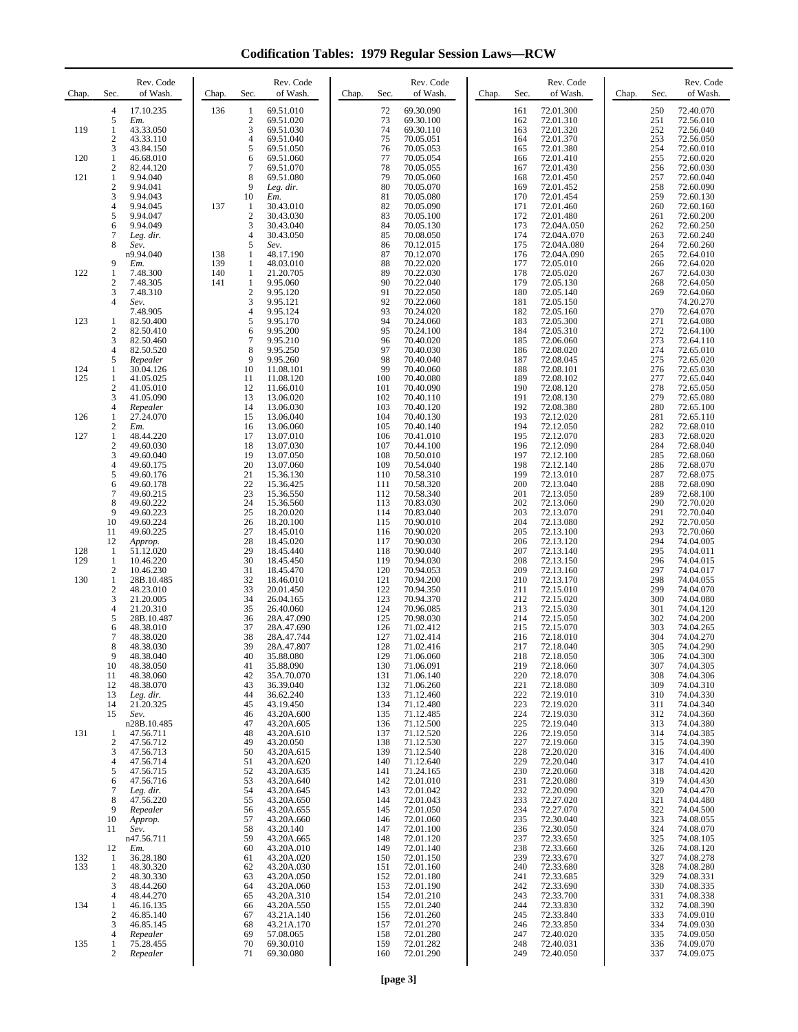**Codification Tables: 1979 Regular Session Laws—RCW**

| Chap.      | Sec.                                  | Rev. Code<br>of Wash.                | Chap.      | Rev. Code<br>Sec.<br>of Wash.                                         | Sec.<br>Chap.     | Rev. Code<br>of Wash.               | Chap. | Rev. Code<br>Sec.<br>of Wash.                            | Chap. | Sec.              | Rev. Code<br>of Wash.               |
|------------|---------------------------------------|--------------------------------------|------------|-----------------------------------------------------------------------|-------------------|-------------------------------------|-------|----------------------------------------------------------|-------|-------------------|-------------------------------------|
|            | $\overline{4}$<br>5                   | 17.10.235<br>Em.                     | 136        | 69.51.010<br>1<br>$\overline{c}$<br>69.51.020                         | 72<br>73          | 69.30.090<br>69.30.100              |       | 72.01.300<br>161<br>162<br>72.01.310                     |       | 250<br>251        | 72.40.070<br>72.56.010              |
| 119        | $\mathbf{1}$<br>2<br>3                | 43.33.050<br>43.33.110<br>43.84.150  |            | 3<br>69.51.030<br>$\overline{4}$<br>69.51.040<br>5<br>69.51.050       | 74<br>75<br>76    | 69.30.110<br>70.05.051<br>70.05.053 |       | 163<br>72.01.320<br>164<br>72.01.370<br>72.01.380<br>165 |       | 252<br>253<br>254 | 72.56.040<br>72.56.050<br>72.60.010 |
| 120        | $\mathbf{1}$<br>2                     | 46.68.010<br>82.44.120               |            | 6<br>69.51.060<br>7<br>69.51.070                                      | 77<br>78          | 70.05.054<br>70.05.055              |       | 166<br>72.01.410<br>167<br>72.01.430                     |       | 255<br>256        | 72.60.020<br>72.60.030              |
| 121        | $\mathbf{1}$<br>$\overline{c}$        | 9.94.040<br>9.94.041                 |            | 8<br>69.51.080<br>9<br>Leg. dir.                                      | 79<br>80          | 70.05.060<br>70.05.070              |       | 168<br>72.01.450<br>169<br>72.01.452                     |       | 257<br>258        | 72.60.040<br>72.60.090              |
|            | 3<br>$\overline{4}$<br>5              | 9.94.043<br>9.94.045<br>9.94.047     | 137        | 10<br>Em.<br>1<br>30.43.010<br>$\boldsymbol{2}$<br>30.43.030          | 81<br>82<br>83    | 70.05.080<br>70.05.090<br>70.05.100 |       | 170<br>72.01.454<br>171<br>72.01.460<br>172<br>72.01.480 |       | 259<br>260<br>261 | 72.60.130<br>72.60.160<br>72.60.200 |
|            | 6<br>7                                | 9.94.049<br>Leg. dir.                |            | 3<br>30.43.040<br>30.43.050<br>4                                      | 84<br>85          | 70.05.130<br>70.08.050              |       | 173<br>72.04A.050<br>72.04A.070<br>174                   |       | 262<br>263        | 72.60.250<br>72.60.240              |
|            | 8                                     | Sev.<br>n9.94.040                    | 138        | 5<br>Sev.<br>48.17.190<br>1                                           | 86<br>87          | 70.12.015<br>70.12.070              |       | 175<br>72.04A.080<br>176<br>72.04A.090                   |       | 264<br>265        | 72.60.260<br>72.64.010              |
| 122        | 9<br>1                                | Em.<br>7.48.300                      | 139<br>140 | $\mathbf{1}$<br>48.03.010<br>$\mathbf{1}$<br>21.20.705                | 88<br>89          | 70.22.020<br>70.22.030              |       | 177<br>72.05.010<br>178<br>72.05.020                     |       | 266<br>267        | 72.64.020<br>72.64.030              |
|            | $\boldsymbol{2}$<br>3<br>4            | 7.48.305<br>7.48.310<br>Sev.         | 141        | $\mathbf{1}$<br>9.95.060<br>$\mathbf{2}$<br>9.95.120<br>3<br>9.95.121 | 90<br>91<br>92    | 70.22.040<br>70.22.050<br>70.22.060 |       | 179<br>72.05.130<br>180<br>72.05.140<br>181<br>72.05.150 |       | 268<br>269        | 72.64.050<br>72.64.060<br>74.20.270 |
| 123        | 1                                     | 7.48.905<br>82.50.400                |            | $\overline{4}$<br>9.95.124<br>5<br>9.95.170                           | 93<br>94          | 70.24.020<br>70.24.060              |       | 182<br>72.05.160<br>183<br>72.05.300                     |       | 270<br>271        | 72.64.070<br>72.64.080              |
|            | $\boldsymbol{2}$<br>3                 | 82.50.410<br>82.50.460               |            | 6<br>9.95.200<br>$\overline{7}$<br>9.95.210                           | 95<br>96          | 70.24.100<br>70.40.020              |       | 184<br>72.05.310<br>185<br>72.06.060                     |       | 272<br>273        | 72.64.100<br>72.64.110              |
|            | $\overline{4}$<br>5                   | 82.50.520<br>Repealer                |            | 8<br>9.95.250<br>9<br>9.95.260                                        | 97<br>98<br>99    | 70.40.030<br>70.40.040              |       | 186<br>72.08.020<br>187<br>72.08.045                     |       | 274<br>275        | 72.65.010<br>72.65.020              |
| 124<br>125 | $\mathbf{1}$<br>1<br>$\boldsymbol{2}$ | 30.04.126<br>41.05.025<br>41.05.010  |            | 10<br>11.08.101<br>11<br>11.08.120<br>12<br>11.66.010                 | 100<br>101        | 70.40.060<br>70.40.080<br>70.40.090 |       | 188<br>72.08.101<br>189<br>72.08.102<br>190<br>72.08.120 |       | 276<br>277<br>278 | 72.65.030<br>72.65.040<br>72.65.050 |
|            | 3<br>4                                | 41.05.090<br>Repealer                |            | 13<br>13.06.020<br>13.06.030<br>14                                    | 102<br>103        | 70.40.110<br>70.40.120              |       | 191<br>72.08.130<br>192<br>72.08.380                     |       | 279<br>280        | 72.65.080<br>72.65.100              |
| 126        | 1<br>2                                | 27.24.070<br>Em.                     |            | 15<br>13.06.040<br>16<br>13.06.060                                    | 104<br>105        | 70.40.130<br>70.40.140              |       | 193<br>72.12.020<br>194<br>72.12.050                     |       | 281<br>282        | 72.65.110<br>72.68.010              |
| 127        | $\mathbf{1}$<br>$\boldsymbol{2}$<br>3 | 48.44.220<br>49.60.030<br>49.60.040  |            | 17<br>13.07.010<br>13.07.030<br>18<br>19<br>13.07.050                 | 106<br>107<br>108 | 70.41.010<br>70.44.100<br>70.50.010 |       | 195<br>72.12.070<br>196<br>72.12.090<br>197<br>72.12.100 |       | 283<br>284<br>285 | 72.68.020<br>72.68.040<br>72.68.060 |
|            | 4<br>5                                | 49.60.175<br>49.60.176               |            | 20<br>13.07.060<br>21<br>15.36.130                                    | 109<br>110        | 70.54.040<br>70.58.310              |       | 198<br>72.12.140<br>199<br>72.13.010                     |       | 286<br>287        | 72.68.070<br>72.68.075              |
|            | 6<br>7                                | 49.60.178<br>49.60.215               |            | 22<br>15.36.425<br>23<br>15.36.550                                    | 111<br>112        | 70.58.320<br>70.58.340              |       | 200<br>72.13.040<br>201<br>72.13.050                     |       | 288<br>289        | 72.68.090<br>72.68.100              |
|            | 8<br>9                                | 49.60.222<br>49.60.223               |            | 24<br>15.36.560<br>25<br>18.20.020                                    | 113<br>114        | 70.83.030<br>70.83.040              |       | 202<br>72.13.060<br>203<br>72.13.070                     |       | 290<br>291        | 72.70.020<br>72.70.040              |
|            | 10<br>11<br>12                        | 49.60.224<br>49.60.225<br>Approp.    |            | 26<br>18.20.100<br>27<br>18.45.010<br>28<br>18.45.020                 | 115<br>116<br>117 | 70.90.010<br>70.90.020<br>70.90.030 |       | 204<br>72.13.080<br>205<br>72.13.100<br>206<br>72.13.120 |       | 292<br>293<br>294 | 72.70.050<br>72.70.060<br>74.04.005 |
| 128<br>129 | -1<br>1                               | 51.12.020<br>10.46.220               |            | 29<br>18.45.440<br>30<br>18.45.450                                    | 118<br>119        | 70.90.040<br>70.94.030              |       | 207<br>72.13.140<br>208<br>72.13.150                     |       | 295<br>296        | 74.04.011<br>74.04.015              |
| 130        | $\overline{c}$<br>$\mathbf{1}$        | 10.46.230<br>28B.10.485              |            | 31<br>18.45.470<br>32<br>18.46.010                                    | 120<br>121        | 70.94.053<br>70.94.200              |       | 209<br>72.13.160<br>210<br>72.13.170                     |       | 297<br>298        | 74.04.017<br>74.04.055              |
|            | $\sqrt{2}$<br>3                       | 48.23.010<br>21.20.005               |            | 33<br>20.01.450<br>26.04.165<br>34                                    | 122<br>123        | 70.94.350<br>70.94.370              |       | 211<br>72.15.010<br>212<br>72.15.020                     |       | 299<br>300        | 74.04.070<br>74.04.080              |
|            | $\overline{4}$<br>5<br>6              | 21.20.310<br>28B.10.487<br>48.38.010 |            | 35<br>26.40.060<br>36<br>28A.47.090<br>37<br>28A.47.690               | 124<br>125<br>126 | 70.96.085<br>70.98.030<br>71.02.412 |       | 213<br>72.15.030<br>214<br>72.15.050<br>215<br>72.15.070 |       | 301<br>302<br>303 | 74.04.120<br>74.04.200<br>74.04.265 |
|            | 7<br>8                                | 48.38.020<br>48.38.030               |            | 38<br>28A.47.744<br>39<br>28A.47.807                                  | 127<br>128        | 71.02.414<br>71.02.416              |       | 216<br>72.18.010<br>217<br>72.18.040                     |       | 304<br>305        | 74.04.270<br>74.04.290              |
|            | 9<br>10                               | 48.38.040<br>48.38.050               |            | 40<br>35.88.080<br>41<br>35.88.090                                    | 129<br>130        | 71.06.060<br>71.06.091              |       | 218<br>72.18.050<br>219<br>72.18.060                     |       | 306<br>307        | 74.04.300<br>74.04.305              |
|            | 11<br>12<br>13                        | 48.38.060<br>48.38.070               |            | 42<br>35A.70.070<br>36.39.040<br>43<br>44<br>36.62.240                | 131<br>132<br>133 | 71.06.140<br>71.06.260              |       | 220<br>72.18.070<br>221<br>72.18.080<br>222              |       | 308<br>309<br>310 | 74.04.306<br>74.04.310<br>74.04.330 |
|            | 14<br>15                              | Leg. dir.<br>21.20.325<br>Sev.       |            | 45<br>43.19.450<br>46<br>43.20A.600                                   | 134<br>135        | 71.12.460<br>71.12.480<br>71.12.485 |       | 72.19.010<br>223<br>72.19.020<br>224<br>72.19.030        |       | 311<br>312        | 74.04.340<br>74.04.360              |
| 131        | 1                                     | n28B.10.485<br>47.56.711             |            | 47<br>43.20A.605<br>48<br>43.20A.610                                  | 136<br>137        | 71.12.500<br>71.12.520              |       | 225<br>72.19.040<br>226<br>72.19.050                     |       | 313<br>314        | 74.04.380<br>74.04.385              |
|            | 2<br>3                                | 47.56.712<br>47.56.713               |            | 49<br>43.20.050<br>50<br>43.20A.615                                   | 138<br>139        | 71.12.530<br>71.12.540              |       | 227<br>72.19.060<br>228<br>72.20.020                     |       | 315<br>316        | 74.04.390<br>74.04.400              |
|            | 4<br>5<br>6                           | 47.56.714<br>47.56.715<br>47.56.716  |            | 51<br>43.20A.620<br>52<br>43.20A.635<br>53<br>43.20A.640              | 140<br>141<br>142 | 71.12.640<br>71.24.165<br>72.01.010 |       | 229<br>72.20.040<br>230<br>72.20.060<br>231<br>72.20.080 |       | 317<br>318<br>319 | 74.04.410<br>74.04.420<br>74.04.430 |
|            | 7<br>8                                | Leg. dir.<br>47.56.220               |            | 54<br>43.20A.645<br>55<br>43.20A.650                                  | 143<br>144        | 72.01.042<br>72.01.043              |       | 232<br>72.20.090<br>233<br>72.27.020                     |       | 320<br>321        | 74.04.470<br>74.04.480              |
|            | 9<br>10                               | Repealer<br>Approp.                  |            | 56<br>43.20A.655<br>57<br>43.20A.660                                  | 145<br>146        | 72.01.050<br>72.01.060              |       | 234<br>72.27.070<br>235<br>72.30.040                     |       | 322<br>323        | 74.04.500<br>74.08.055              |
|            | 11                                    | Sev.<br>n47.56.711                   |            | 43.20.140<br>58<br>59<br>43.20A.665                                   | 147<br>148        | 72.01.100<br>72.01.120              |       | 236<br>72.30.050<br>237<br>72.33.650                     |       | 324<br>325        | 74.08.070<br>74.08.105              |
| 132<br>133 | 12<br>$\mathbf{1}$<br>1               | Em.<br>36.28.180<br>48.30.320        |            | 60<br>43.20A.010<br>43.20A.020<br>61<br>62<br>43.20A.030              | 149<br>150<br>151 | 72.01.140<br>72.01.150<br>72.01.160 |       | 238<br>72.33.660<br>239<br>72.33.670<br>240<br>72.33.680 |       | 326<br>327<br>328 | 74.08.120<br>74.08.278<br>74.08.280 |
|            | 2<br>3                                | 48.30.330<br>48.44.260               |            | 63<br>43.20A.050<br>64<br>43.20A.060                                  | 152<br>153        | 72.01.180<br>72.01.190              |       | 241<br>72.33.685<br>242<br>72.33.690                     |       | 329<br>330        | 74.08.331<br>74.08.335              |
| 134        | 4<br>1                                | 48.44.270<br>46.16.135               |            | 65<br>43.20A.310<br>43.20A.550<br>66                                  | 154<br>155        | 72.01.210<br>72.01.240              |       | 72.33.700<br>243<br>244<br>72.33.830                     |       | 331<br>332        | 74.08.338<br>74.08.390              |
|            | 2<br>3                                | 46.85.140<br>46.85.145               |            | 67<br>43.21A.140<br>68<br>43.21A.170                                  | 156<br>157        | 72.01.260<br>72.01.270              |       | 245<br>72.33.840<br>246<br>72.33.850                     |       | 333<br>334        | 74.09.010<br>74.09.030              |
| 135        | 4<br>1<br>2                           | Repealer<br>75.28.455<br>Repealer    |            | 69<br>57.08.065<br>69.30.010<br>70<br>71<br>69.30.080                 | 158<br>159<br>160 | 72.01.280<br>72.01.282<br>72.01.290 |       | 247<br>72.40.020<br>248<br>72.40.031<br>249<br>72.40.050 |       | 335<br>336<br>337 | 74.09.050<br>74.09.070<br>74.09.075 |
|            |                                       |                                      |            |                                                                       |                   |                                     |       |                                                          |       |                   |                                     |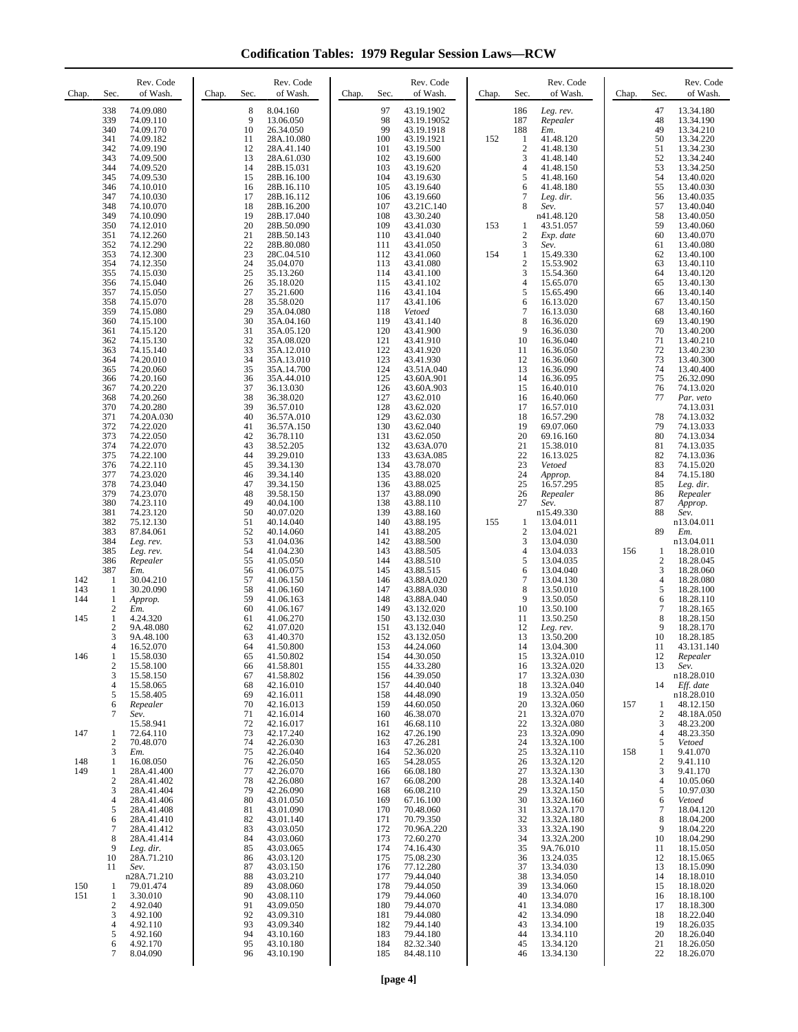**Codification Tables: 1979 Regular Session Laws—RCW**

| Chap.             | Sec.                                                    | Rev. Code<br>of Wash.                                                                                               | Chap. | Sec.                                               | Rev. Code<br>of Wash.                                                                                             | Chap. | Sec.                                                        | Rev. Code<br>of Wash.                                                                                              | Chap. | Sec.                                                                     | Rev. Code<br>of Wash.                                                                                                 | Chap. | Sec.                                                          | Rev. Code<br>of Wash.                                                                                             |
|-------------------|---------------------------------------------------------|---------------------------------------------------------------------------------------------------------------------|-------|----------------------------------------------------|-------------------------------------------------------------------------------------------------------------------|-------|-------------------------------------------------------------|--------------------------------------------------------------------------------------------------------------------|-------|--------------------------------------------------------------------------|-----------------------------------------------------------------------------------------------------------------------|-------|---------------------------------------------------------------|-------------------------------------------------------------------------------------------------------------------|
|                   | 338<br>339<br>340<br>341<br>342<br>343<br>344<br>345    | 74.09.080<br>74.09.110<br>74.09.170<br>74.09.182<br>74.09.190<br>74.09.500<br>74.09.520<br>74.09.530                |       | 8<br>9<br>10<br>11<br>12<br>13<br>14<br>15         | 8.04.160<br>13.06.050<br>26.34.050<br>28A.10.080<br>28A.41.140<br>28A.61.030<br>28B.15.031<br>28B.16.100          |       | 97<br>98<br>99<br>100<br>101<br>102<br>103<br>104           | 43.19.1902<br>43.19.19052<br>43.19.1918<br>43.19.1921<br>43.19.500<br>43.19.600<br>43.19.620<br>43.19.630          | 152   | 186<br>187<br>188<br>$\mathbf{1}$<br>$\overline{c}$<br>3<br>4<br>5       | Leg. rev.<br>Repealer<br>Em.<br>41.48.120<br>41.48.130<br>41.48.140<br>41.48.150<br>41.48.160                         |       | 47<br>48<br>49<br>50<br>51<br>52<br>53<br>54                  | 13.34.180<br>13.34.190<br>13.34.210<br>13.34.220<br>13.34.230<br>13.34.240<br>13.34.250<br>13.40.020              |
|                   | 346<br>347<br>348<br>349<br>350<br>351<br>352           | 74.10.010<br>74.10.030<br>74.10.070<br>74.10.090<br>74.12.010<br>74.12.260<br>74.12.290                             |       | 16<br>17<br>18<br>19<br>20<br>21<br>22             | 28B.16.110<br>28B.16.112<br>28B.16.200<br>28B.17.040<br>28B.50.090<br>28B.50.143<br>28B.80.080                    |       | 105<br>106<br>107<br>108<br>109<br>110<br>111               | 43.19.640<br>43.19.660<br>43.21C.140<br>43.30.240<br>43.41.030<br>43.41.040<br>43.41.050                           | 153   | 6<br>7<br>8<br>1<br>$\overline{c}$<br>3                                  | 41.48.180<br>Leg. dir.<br>Sev.<br>n41.48.120<br>43.51.057<br>Exp. date<br>Sev.                                        |       | 55<br>56<br>57<br>58<br>59<br>60<br>61                        | 13.40.030<br>13.40.035<br>13.40.040<br>13.40.050<br>13.40.060<br>13.40.070<br>13.40.080                           |
|                   | 353<br>354<br>355<br>356<br>357<br>358<br>359           | 74.12.300<br>74.12.350<br>74.15.030<br>74.15.040<br>74.15.050<br>74.15.070                                          |       | 23<br>24<br>25<br>26<br>27<br>28<br>29             | 28C.04.510<br>35.04.070<br>35.13.260<br>35.18.020<br>35.21.600<br>35.58.020                                       |       | 112<br>113<br>114<br>115<br>116<br>117<br>118               | 43.41.060<br>43.41.080<br>43.41.100<br>43.41.102<br>43.41.104<br>43.41.106<br>Vetoed                               | 154   | $\mathbf{1}$<br>$\overline{c}$<br>3<br>$\overline{4}$<br>5<br>6<br>7     | 15.49.330<br>15.53.902<br>15.54.360<br>15.65.070<br>15.65.490<br>16.13.020                                            |       | 62<br>63<br>64<br>65<br>66<br>67<br>68                        | 13.40.100<br>13.40.110<br>13.40.120<br>13.40.130<br>13.40.140<br>13.40.150<br>13.40.160                           |
|                   | 360<br>361<br>362<br>363<br>364<br>365<br>366           | 74.15.080<br>74.15.100<br>74.15.120<br>74.15.130<br>74.15.140<br>74.20.010<br>74.20.060<br>74.20.160                |       | 30<br>31<br>32<br>33<br>34<br>35<br>36             | 35A.04.080<br>35A.04.160<br>35A.05.120<br>35A.08.020<br>35A.12.010<br>35A.13.010<br>35A.14.700<br>35A.44.010      |       | 119<br>120<br>121<br>122<br>123<br>124<br>125               | 43.41.140<br>43.41.900<br>43.41.910<br>43.41.920<br>43.41.930<br>43.51A.040<br>43.60A.901                          |       | 8<br>9<br>10<br>11<br>12<br>13<br>14                                     | 16.13.030<br>16.36.020<br>16.36.030<br>16.36.040<br>16.36.050<br>16.36.060<br>16.36.090<br>16.36.095                  |       | 69<br>70<br>71<br>72<br>73<br>74<br>75                        | 13.40.190<br>13.40.200<br>13.40.210<br>13.40.230<br>13.40.300<br>13.40.400<br>26.32.090                           |
|                   | 367<br>368<br>370<br>371<br>372<br>373<br>374           | 74.20.220<br>74.20.260<br>74.20.280<br>74.20A.030<br>74.22.020<br>74.22.050<br>74.22.070                            |       | 37<br>38<br>39<br>40<br>41<br>42<br>43             | 36.13.030<br>36.38.020<br>36.57.010<br>36.57A.010<br>36.57A.150<br>36.78.110<br>38.52.205                         |       | 126<br>127<br>128<br>129<br>130<br>131<br>132               | 43.60A.903<br>43.62.010<br>43.62.020<br>43.62.030<br>43.62.040<br>43.62.050<br>43.63A.070                          |       | 15<br>16<br>17<br>18<br>19<br>20<br>21                                   | 16.40.010<br>16.40.060<br>16.57.010<br>16.57.290<br>69.07.060<br>69.16.160<br>15.38.010                               |       | 76<br>77<br>78<br>79<br>80<br>81                              | 74.13.020<br>Par. veto<br>74.13.031<br>74.13.032<br>74.13.033<br>74.13.034<br>74.13.035                           |
|                   | 375<br>376<br>377<br>378<br>379<br>380<br>381           | 74.22.100<br>74.22.110<br>74.23.020<br>74.23.040<br>74.23.070<br>74.23.110<br>74.23.120                             |       | 44<br>45<br>46<br>47<br>48<br>49<br>50             | 39.29.010<br>39.34.130<br>39.34.140<br>39.34.150<br>39.58.150<br>40.04.100<br>40.07.020                           |       | 133<br>134<br>135<br>136<br>137<br>138<br>139               | 43.63A.085<br>43.78.070<br>43.88.020<br>43.88.025<br>43.88.090<br>43.88.110<br>43.88.160                           |       | 22<br>23<br>24<br>25<br>26<br>27                                         | 16.13.025<br>Vetoed<br>Approp.<br>16.57.295<br>Repealer<br>Sev.<br>n15.49.330                                         |       | 82<br>83<br>84<br>85<br>86<br>87<br>88                        | 74.13.036<br>74.15.020<br>74.15.180<br>Leg. dir.<br>Repealer<br>Approp.<br>Sev.                                   |
| 142               | 382<br>383<br>384<br>385<br>386<br>387<br>1             | 75.12.130<br>87.84.061<br>Leg. rev.<br>Leg. rev.<br>Repealer<br>Em.<br>30.04.210                                    |       | 51<br>52<br>53<br>54<br>55<br>56<br>57             | 40.14.040<br>40.14.060<br>41.04.036<br>41.04.230<br>41.05.050<br>41.06.075<br>41.06.150                           |       | 140<br>141<br>142<br>143<br>144<br>145<br>146               | 43.88.195<br>43.88.205<br>43.88.500<br>43.88.505<br>43.88.510<br>43.88.515<br>43.88A.020                           | 155   | $\mathbf{1}$<br>$\boldsymbol{2}$<br>3<br>4<br>5<br>6<br>$\boldsymbol{7}$ | 13.04.011<br>13.04.021<br>13.04.030<br>13.04.033<br>13.04.035<br>13.04.040<br>13.04.130                               | 156   | 89<br>1<br>$\sqrt{2}$<br>3<br>$\overline{4}$                  | n13.04.011<br>Em.<br>n13.04.011<br>18.28.010<br>18.28.045<br>18.28.060<br>18.28.080                               |
| 143<br>144<br>145 | 1<br>1<br>$\mathbf{2}$<br>1<br>$\overline{2}$<br>3<br>4 | 30.20.090<br>Approp.<br>Em.<br>4.24.320<br>9A.48.080<br>9A.48.100<br>16.52.070                                      |       | 58<br>59<br>60<br>61<br>62<br>63<br>64             | 41.06.160<br>41.06.163<br>41.06.167<br>41.06.270<br>41.07.020<br>41.40.370<br>41.50.800                           |       | 147<br>148<br>149<br>150<br>151<br>152<br>153               | 43.88A.030<br>43.88A.040<br>43.132.020<br>43.132.030<br>43.132.040<br>43.132.050<br>44.24.060                      |       | 8<br>9<br>10<br>11<br>12<br>13<br>14                                     | 13.50.010<br>13.50.050<br>13.50.100<br>13.50.250<br>Leg. rev.<br>13.50.200<br>13.04.300                               |       | 5<br>6<br>$\tau$<br>8<br>9<br>10<br>11                        | 18.28.100<br>18.28.110<br>18.28.165<br>18.28.150<br>18.28.170<br>18.28.185<br>43.131.140                          |
| 146               | 1<br>$\overline{\mathbf{c}}$<br>3<br>4<br>5<br>6<br>7   | 15.58.030<br>15.58.100<br>15.58.150<br>15.58.065<br>15.58.405<br>Repealer<br>Sev.                                   |       | 65<br>66<br>67<br>68<br>69<br>70<br>71             | 41.50.802<br>41.58.801<br>41.58.802<br>42.16.010<br>42.16.011<br>42.16.013<br>42.16.014                           |       | 154<br>155<br>156<br>157<br>158<br>159<br>160               | 44.30.050<br>44.33.280<br>44.39.050<br>44.40.040<br>44.48.090<br>44.60.050<br>46.38.070                            |       | 15<br>16<br>17<br>18<br>19<br>20<br>21                                   | 13.32A.010<br>13.32A.020<br>13.32A.030<br>13.32A.040<br>13.32A.050<br>13.32A.060<br>13.32A.070                        | 157   | 12<br>13<br>14<br>1<br>$\overline{\mathbf{c}}$                | Repealer<br>Sev.<br>n18.28.010<br>Eff. date<br>n18.28.010<br>48.12.150<br>48.18A.050                              |
| 147               | 1<br>2                                                  | 15.58.941<br>72.64.110<br>70.48.070                                                                                 |       | 72<br>73<br>74                                     | 42.16.017<br>42.17.240<br>42.26.030                                                                               |       | 161<br>162<br>163                                           | 46.68.110<br>47.26.190<br>47.26.281                                                                                |       | 22<br>23<br>24                                                           | 13.32A.080<br>13.32A.090<br>13.32A.100                                                                                |       | 3<br>$\overline{4}$<br>5                                      | 48.23.200<br>48.23.350<br>Vetoed                                                                                  |
| 148<br>149        | 3<br>1<br>1<br>$\overline{2}$<br>3<br>$\overline{4}$    | Em.<br>16.08.050<br>28A.41.400<br>28A.41.402<br>28A.41.404<br>28A.41.406                                            |       | 75<br>76<br>77<br>78<br>79<br>80                   | 42.26.040<br>42.26.050<br>42.26.070<br>42.26.080<br>42.26.090<br>43.01.050                                        |       | 164<br>165<br>166<br>167<br>168<br>169                      | 52.36.020<br>54.28.055<br>66.08.180<br>66.08.200<br>66.08.210<br>67.16.100                                         |       | 25<br>26<br>27<br>28<br>29<br>30                                         | 13.32A.110<br>13.32A.120<br>13.32A.130<br>13.32A.140<br>13.32A.150<br>13.32A.160                                      | 158   | 1<br>$\overline{\mathbf{c}}$<br>3<br>$\overline{4}$<br>5<br>6 | 9.41.070<br>9.41.110<br>9.41.170<br>10.05.060<br>10.97.030<br>Vetoed                                              |
| 150               | 5<br>6<br>7<br>8<br>9<br>10<br>11<br>-1                 | 28A.41.408<br>28A.41.410<br>28A.41.412<br>28A.41.414<br>Leg. dir.<br>28A.71.210<br>Sev.<br>n28A.71.210<br>79.01.474 |       | 81<br>82<br>83<br>84<br>85<br>86<br>87<br>88<br>89 | 43.01.090<br>43.01.140<br>43.03.050<br>43.03.060<br>43.03.065<br>43.03.120<br>43.03.150<br>43.03.210<br>43.08.060 |       | 170<br>171<br>172<br>173<br>174<br>175<br>176<br>177<br>178 | 70.48.060<br>70.79.350<br>70.96A.220<br>72.60.270<br>74.16.430<br>75.08.230<br>77.12.280<br>79.44.040<br>79.44.050 |       | 31<br>32<br>33<br>34<br>35<br>36<br>37<br>38<br>39                       | 13.32A.170<br>13.32A.180<br>13.32A.190<br>13.32A.200<br>9A.76.010<br>13.24.035<br>13.34.030<br>13.34.050<br>13.34.060 |       | $\tau$<br>8<br>9<br>10<br>11<br>12<br>13<br>14<br>15          | 18.04.120<br>18.04.200<br>18.04.220<br>18.04.290<br>18.15.050<br>18.15.065<br>18.15.090<br>18.18.010<br>18.18.020 |
| 151               | 1<br>$\overline{\mathbf{c}}$<br>3<br>4<br>5<br>6<br>7   | 3.30.010<br>4.92.040<br>4.92.100<br>4.92.110<br>4.92.160<br>4.92.170<br>8.04.090                                    |       | 90<br>91<br>92<br>93<br>94<br>95<br>96             | 43.08.110<br>43.09.050<br>43.09.310<br>43.09.340<br>43.10.160<br>43.10.180<br>43.10.190                           |       | 179<br>180<br>181<br>182<br>183<br>184<br>185               | 79.44.060<br>79.44.070<br>79.44.080<br>79.44.140<br>79.44.180<br>82.32.340<br>84.48.110                            |       | 40<br>41<br>42<br>43<br>44<br>45<br>46                                   | 13.34.070<br>13.34.080<br>13.34.090<br>13.34.100<br>13.34.110<br>13.34.120<br>13.34.130                               |       | 16<br>17<br>18<br>19<br>20<br>21<br>22                        | 18.18.100<br>18.18.300<br>18.22.040<br>18.26.035<br>18.26.040<br>18.26.050<br>18.26.070                           |